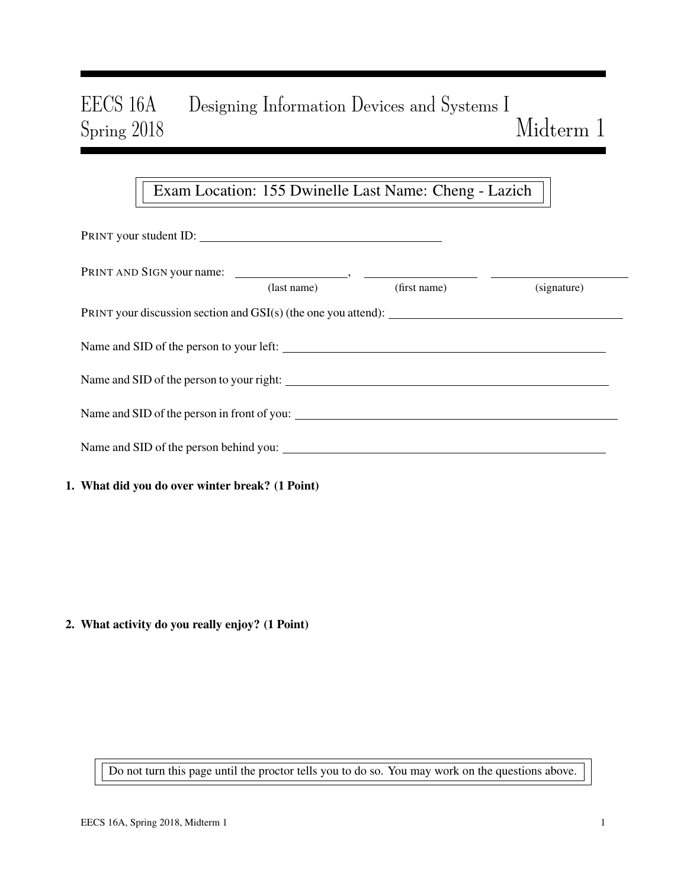# EECS 16A Designing Information Devices and Systems I Spring 2018 Midterm 1

# Exam Location: 155 Dwinelle Last Name: Cheng - Lazich

| PRINT your student ID:                          |                   |              |             |  |  |
|-------------------------------------------------|-------------------|--------------|-------------|--|--|
|                                                 | $u$ s (last name) | (first name) | (signature) |  |  |
|                                                 |                   |              |             |  |  |
| Name and SID of the person to your left:        |                   |              |             |  |  |
|                                                 |                   |              |             |  |  |
|                                                 |                   |              |             |  |  |
| Name and SID of the person behind you:          |                   |              |             |  |  |
| 1. What did you do over winter break? (1 Point) |                   |              |             |  |  |

2. What activity do you really enjoy? (1 Point)

Do not turn this page until the proctor tells you to do so. You may work on the questions above.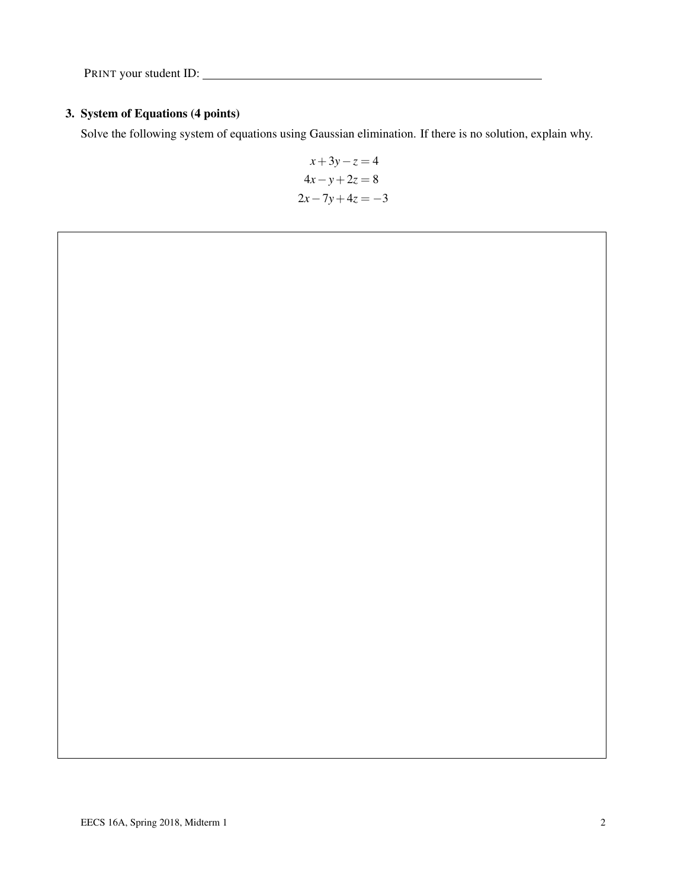### 3. System of Equations (4 points)

Solve the following system of equations using Gaussian elimination. If there is no solution, explain why.

$$
x+3y-z = 4
$$
  

$$
4x - y + 2z = 8
$$
  

$$
2x-7y+4z = -3
$$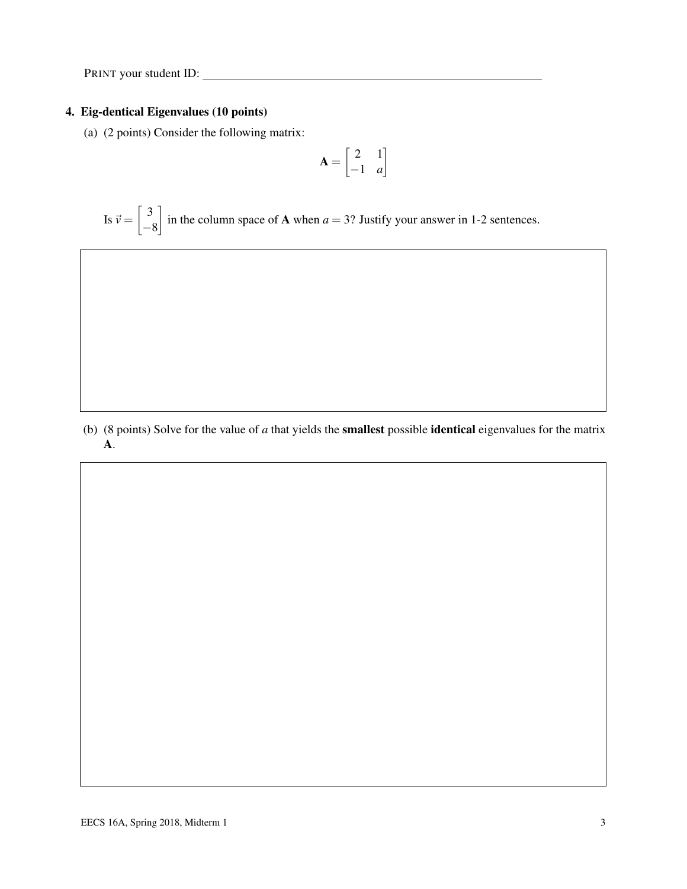#### 4. Eig-dentical Eigenvalues (10 points)

(a) (2 points) Consider the following matrix:

$$
\mathbf{A} = \begin{bmatrix} 2 & 1 \\ -1 & a \end{bmatrix}
$$

Is  $\vec{v} = \begin{bmatrix} 3 \\ 4 \end{bmatrix}$ −8 in the column space of **A** when  $a = 3$ ? Justify your answer in 1-2 sentences.

(b) (8 points) Solve for the value of *a* that yields the smallest possible identical eigenvalues for the matrix A.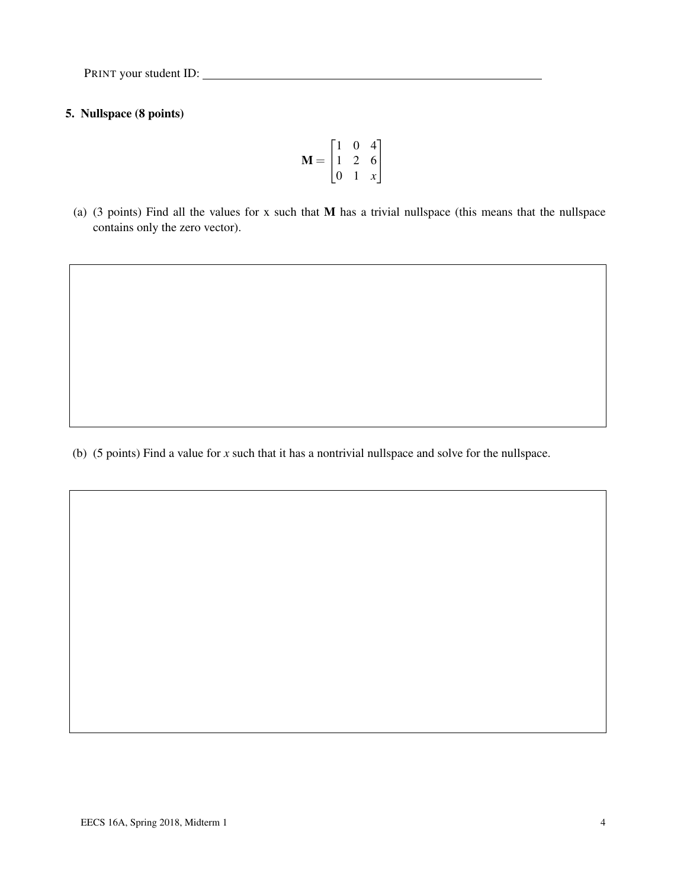### 5. Nullspace (8 points)

$$
\mathbf{M} = \begin{bmatrix} 1 & 0 & 4 \\ 1 & 2 & 6 \\ 0 & 1 & x \end{bmatrix}
$$

(a) (3 points) Find all the values for x such that M has a trivial nullspace (this means that the nullspace contains only the zero vector).

(b) (5 points) Find a value for *x* such that it has a nontrivial nullspace and solve for the nullspace.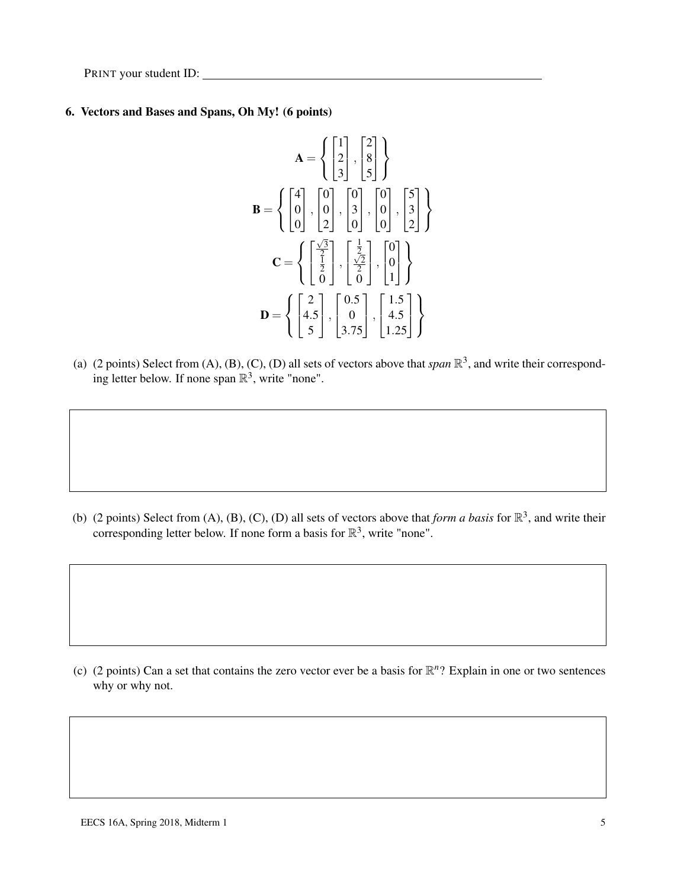#### 6. Vectors and Bases and Spans, Oh My! (6 points)

$$
\mathbf{A} = \left\{ \begin{bmatrix} 1 \\ 2 \\ 3 \end{bmatrix}, \begin{bmatrix} 2 \\ 8 \\ 5 \end{bmatrix} \right\}
$$

$$
\mathbf{B} = \left\{ \begin{bmatrix} 4 \\ 0 \\ 0 \end{bmatrix}, \begin{bmatrix} 0 \\ 0 \\ 2 \end{bmatrix}, \begin{bmatrix} 0 \\ 3 \\ 0 \end{bmatrix}, \begin{bmatrix} 0 \\ 0 \\ 0 \end{bmatrix}, \begin{bmatrix} 5 \\ 3 \\ 2 \end{bmatrix} \right\}
$$

$$
\mathbf{C} = \left\{ \begin{bmatrix} \frac{\sqrt{3}}{2} \\ \frac{1}{2} \\ 0 \end{bmatrix}, \begin{bmatrix} \frac{1}{2} \\ \frac{\sqrt{2}}{2} \\ 0 \end{bmatrix}, \begin{bmatrix} 0 \\ 0 \\ 1 \end{bmatrix} \right\}
$$

$$
\mathbf{D} = \left\{ \begin{bmatrix} 2 \\ 4.5 \\ 5 \end{bmatrix}, \begin{bmatrix} 0.5 \\ 0 \\ 3.75 \end{bmatrix}, \begin{bmatrix} 1.5 \\ 4.5 \\ 1.25 \end{bmatrix} \right\}
$$

(a) (2 points) Select from  $(A)$ ,  $(B)$ ,  $(C)$ ,  $(D)$  all sets of vectors above that *span*  $\mathbb{R}^3$ , and write their corresponding letter below. If none span  $\mathbb{R}^3$ , write "none".

(b) (2 points) Select from (A), (B), (C), (D) all sets of vectors above that *form a basis* for  $\mathbb{R}^3$ , and write their corresponding letter below. If none form a basis for  $\mathbb{R}^3$ , write "none".

(c) (2 points) Can a set that contains the zero vector ever be a basis for  $\mathbb{R}^n$ ? Explain in one or two sentences why or why not.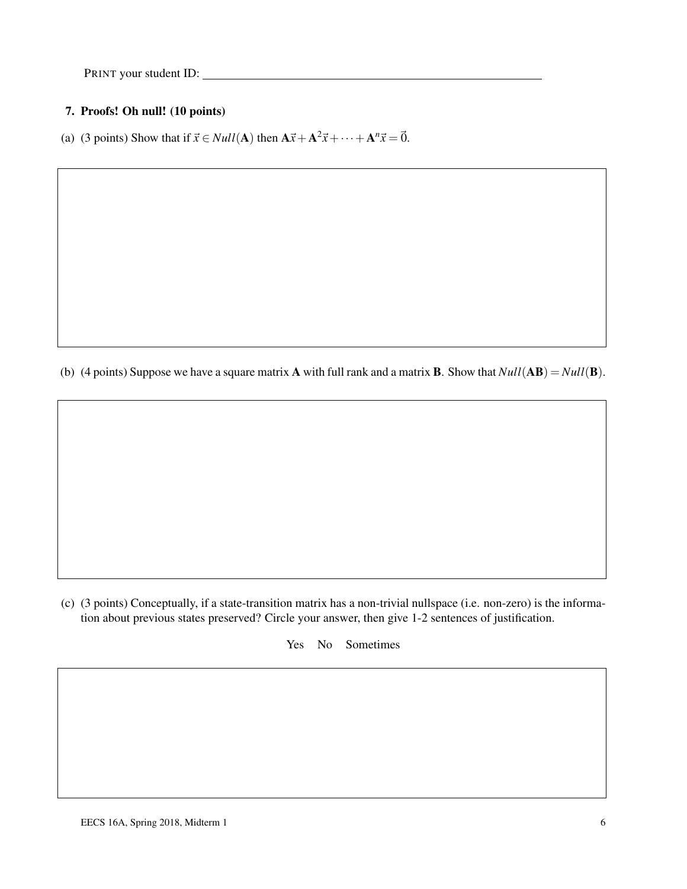#### 7. Proofs! Oh null! (10 points)

(a) (3 points) Show that if  $\vec{x} \in Null(A)$  then  $A\vec{x} + A^2\vec{x} + \cdots + A^n\vec{x} = \vec{0}$ .

(b) (4 points) Suppose we have a square matrix **A** with full rank and a matrix **B**. Show that  $Null(AB) = Null(B)$ .

(c) (3 points) Conceptually, if a state-transition matrix has a non-trivial nullspace (i.e. non-zero) is the information about previous states preserved? Circle your answer, then give 1-2 sentences of justification.

Yes No Sometimes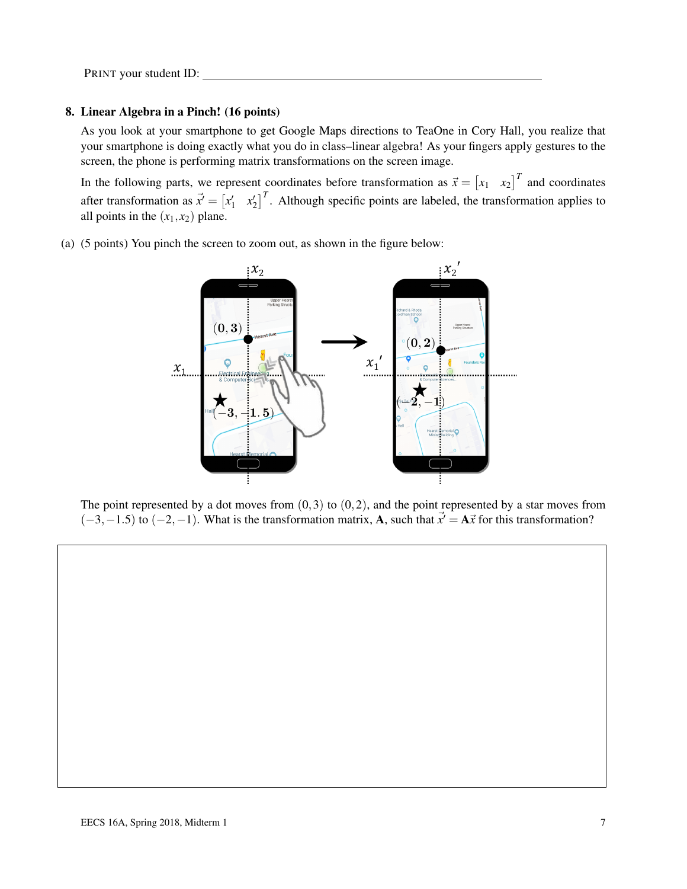#### 8. Linear Algebra in a Pinch! (16 points)

As you look at your smartphone to get Google Maps directions to TeaOne in Cory Hall, you realize that your smartphone is doing exactly what you do in class–linear algebra! As your fingers apply gestures to the screen, the phone is performing matrix transformations on the screen image.

In the following parts, we represent coordinates before transformation as  $\vec{x} = \begin{bmatrix} x_1 & x_2 \end{bmatrix}^T$  and coordinates after transformation as  $\vec{x}' = \begin{bmatrix} x'_1 & x'_2 \end{bmatrix}^T$ . Although specific points are labeled, the transformation applies to all points in the  $(x_1, x_2)$  plane.

(a) (5 points) You pinch the screen to zoom out, as shown in the figure below:



The point represented by a dot moves from  $(0,3)$  to  $(0,2)$ , and the point represented by a star moves from  $(-3,-1.5)$  to  $(-2,-1)$ . What is the transformation matrix, **A**, such that  $\vec{x}' = \mathbf{A}\vec{x}$  for this transformation?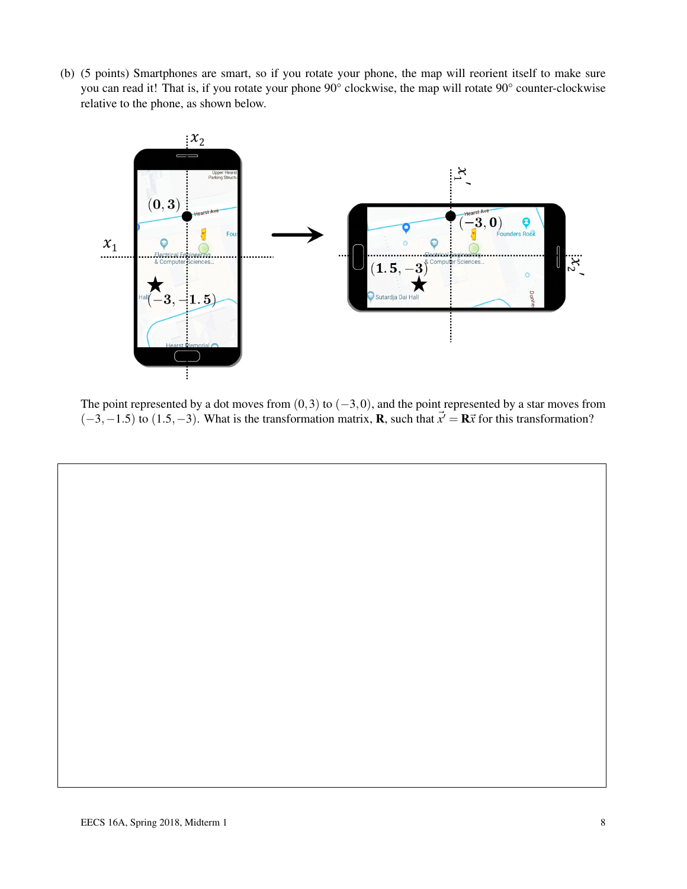(b) (5 points) Smartphones are smart, so if you rotate your phone, the map will reorient itself to make sure you can read it! That is, if you rotate your phone 90° clockwise, the map will rotate 90° counter-clockwise relative to the phone, as shown below.



The point represented by a dot moves from  $(0,3)$  to  $(-3,0)$ , and the point represented by a star moves from  $(-3,-1.5)$  to  $(1.5,-3)$ . What is the transformation matrix, **R**, such that  $\vec{x}' = \mathbf{R}\vec{x}$  for this transformation?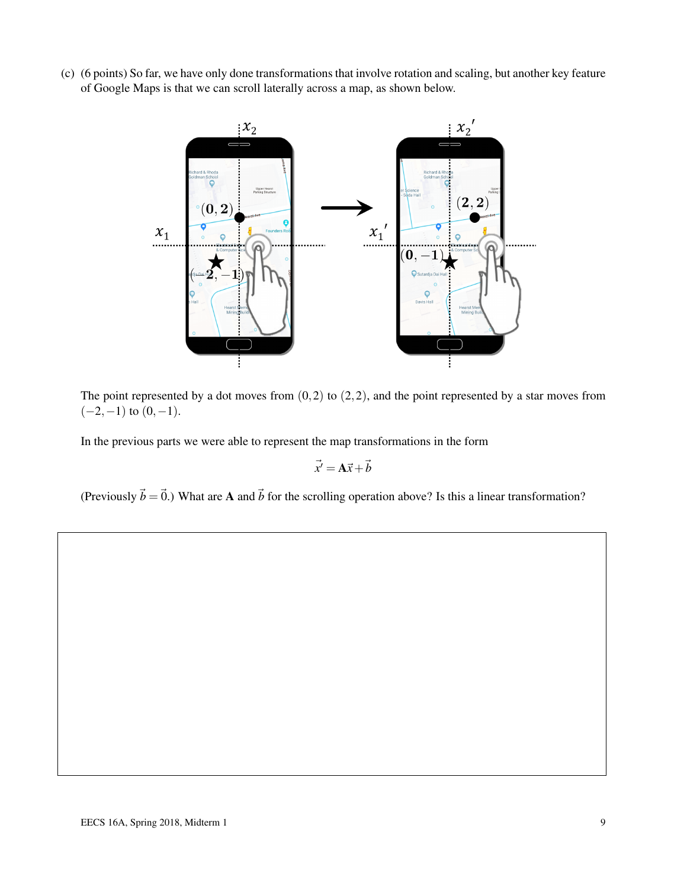(c) (6 points) So far, we have only done transformations that involve rotation and scaling, but another key feature of Google Maps is that we can scroll laterally across a map, as shown below.



The point represented by a dot moves from  $(0,2)$  to  $(2,2)$ , and the point represented by a star moves from  $(-2,-1)$  to  $(0,-1)$ .

In the previous parts we were able to represent the map transformations in the form

$$
\vec{x}' = \mathbf{A}\vec{x} + \vec{b}
$$

(Previously  $\vec{b} = \vec{0}$ .) What are A and  $\vec{b}$  for the scrolling operation above? Is this a linear transformation?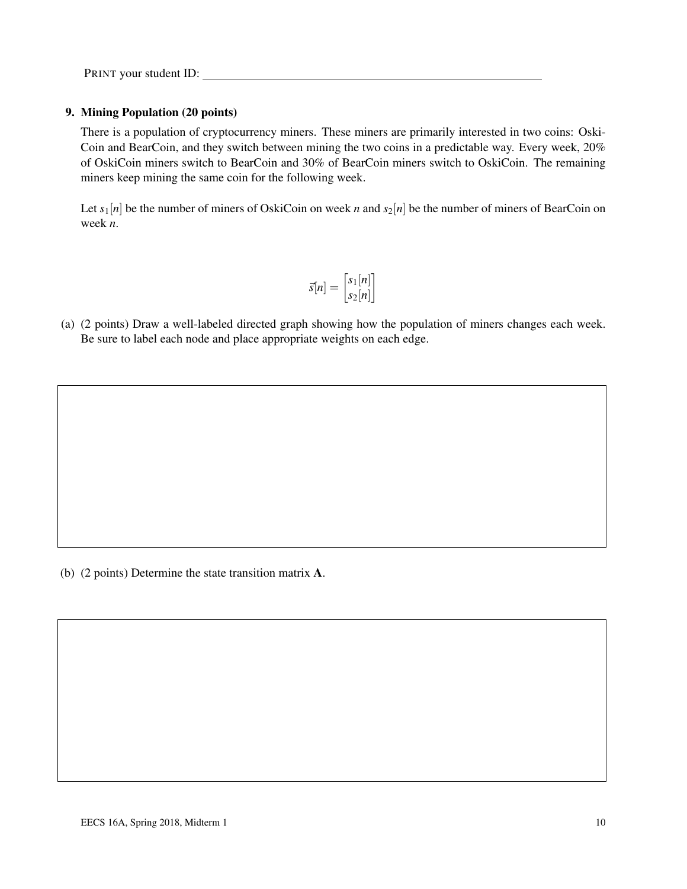#### 9. Mining Population (20 points)

There is a population of cryptocurrency miners. These miners are primarily interested in two coins: Oski-Coin and BearCoin, and they switch between mining the two coins in a predictable way. Every week, 20% of OskiCoin miners switch to BearCoin and 30% of BearCoin miners switch to OskiCoin. The remaining miners keep mining the same coin for the following week.

Let  $s_1[n]$  be the number of miners of OskiCoin on week *n* and  $s_2[n]$  be the number of miners of BearCoin on week *n*.

$$
\vec{s}[n] = \begin{bmatrix} s_1[n] \\ s_2[n] \end{bmatrix}
$$

(a) (2 points) Draw a well-labeled directed graph showing how the population of miners changes each week. Be sure to label each node and place appropriate weights on each edge.

(b) (2 points) Determine the state transition matrix A.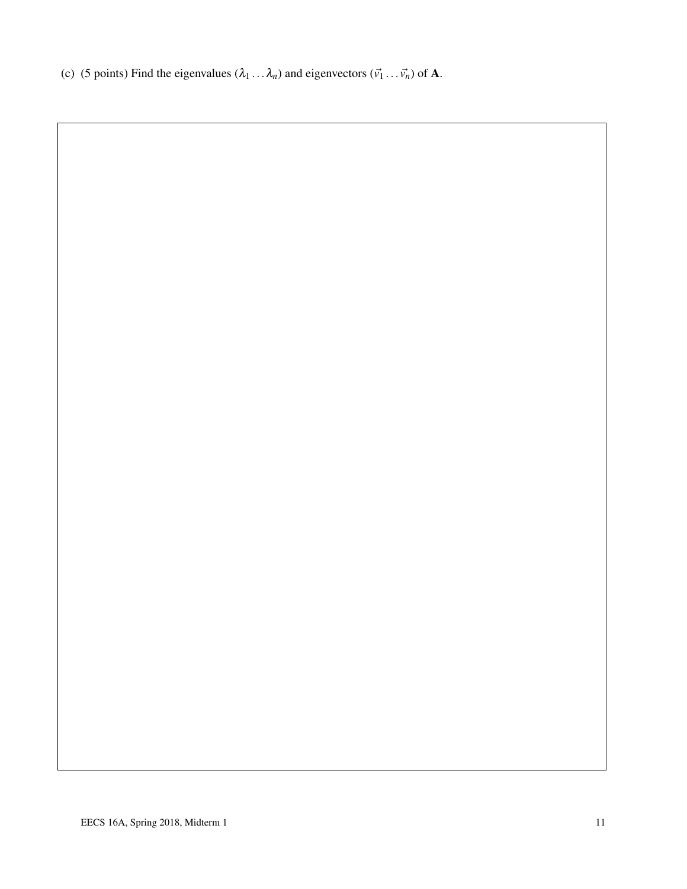(c) (5 points) Find the eigenvalues  $(\lambda_1 \dots \lambda_n)$  and eigenvectors  $(\vec{v_1} \dots \vec{v_n})$  of **A**.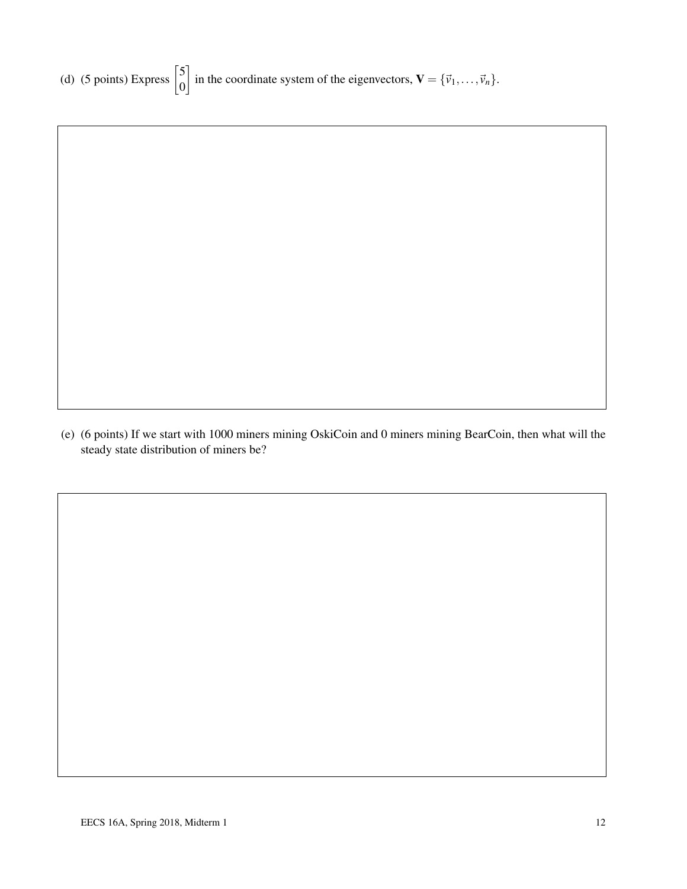(e) (6 points) If we start with 1000 miners mining OskiCoin and 0 miners mining BearCoin, then what will the steady state distribution of miners be?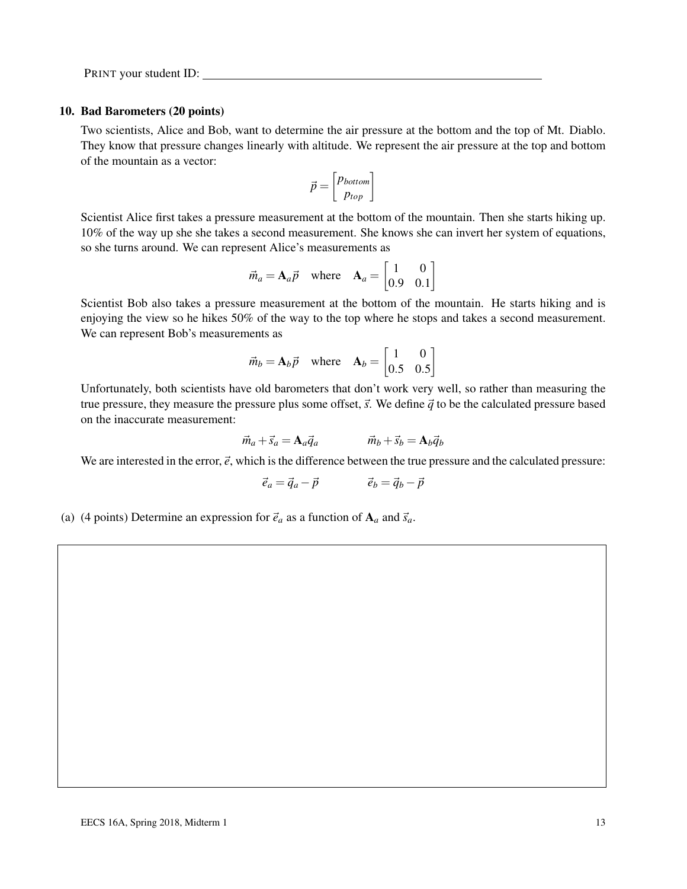#### 10. Bad Barometers (20 points)

Two scientists, Alice and Bob, want to determine the air pressure at the bottom and the top of Mt. Diablo. They know that pressure changes linearly with altitude. We represent the air pressure at the top and bottom of the mountain as a vector:

$$
\vec{p} = \begin{bmatrix} p_{bottom} \\ p_{top} \end{bmatrix}
$$

Scientist Alice first takes a pressure measurement at the bottom of the mountain. Then she starts hiking up. 10% of the way up she she takes a second measurement. She knows she can invert her system of equations, so she turns around. We can represent Alice's measurements as

$$
\vec{m}_a = \mathbf{A}_a \vec{p} \quad \text{where} \quad \mathbf{A}_a = \begin{bmatrix} 1 & 0 \\ 0.9 & 0.1 \end{bmatrix}
$$

Scientist Bob also takes a pressure measurement at the bottom of the mountain. He starts hiking and is enjoying the view so he hikes 50% of the way to the top where he stops and takes a second measurement. We can represent Bob's measurements as

$$
\vec{m}_b = \mathbf{A}_b \vec{p} \quad \text{where} \quad \mathbf{A}_b = \begin{bmatrix} 1 & 0 \\ 0.5 & 0.5 \end{bmatrix}
$$

Unfortunately, both scientists have old barometers that don't work very well, so rather than measuring the true pressure, they measure the pressure plus some offset,  $\vec{s}$ . We define  $\vec{q}$  to be the calculated pressure based on the inaccurate measurement:

$$
\vec{m}_a + \vec{s}_a = \mathbf{A}_a \vec{q}_a \qquad \qquad \vec{m}_b + \vec{s}_b = \mathbf{A}_b \vec{q}_b
$$

We are interested in the error,  $\vec{e}$ , which is the difference between the true pressure and the calculated pressure:

$$
\vec{e}_a = \vec{q}_a - \vec{p} \qquad \qquad \vec{e}_b = \vec{q}_b - \vec{p}
$$

(a) (4 points) Determine an expression for  $\vec{e}_a$  as a function of  $A_a$  and  $\vec{s}_a$ .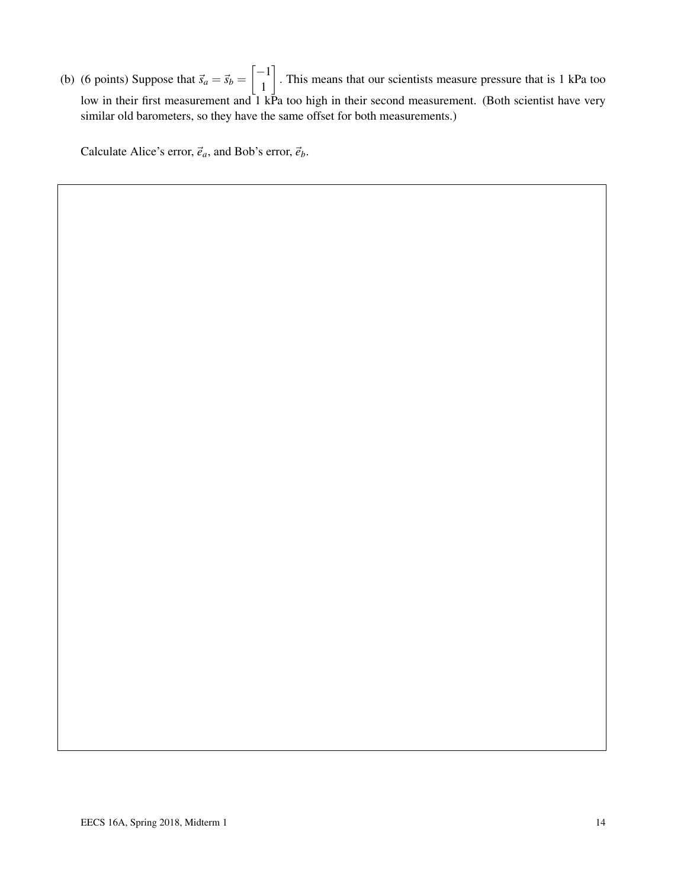(b) (6 points) Suppose that  $\vec{s}_a = \vec{s}_b = \begin{bmatrix} -1 \\ 1 \end{bmatrix}$ 1 . This means that our scientists measure pressure that is 1 kPa too low in their first measurement and  $\overline{1}$  kPa too high in their second measurement. (Both scientist have very similar old barometers, so they have the same offset for both measurements.)

Calculate Alice's error,  $\vec{e}_a$ , and Bob's error,  $\vec{e}_b$ .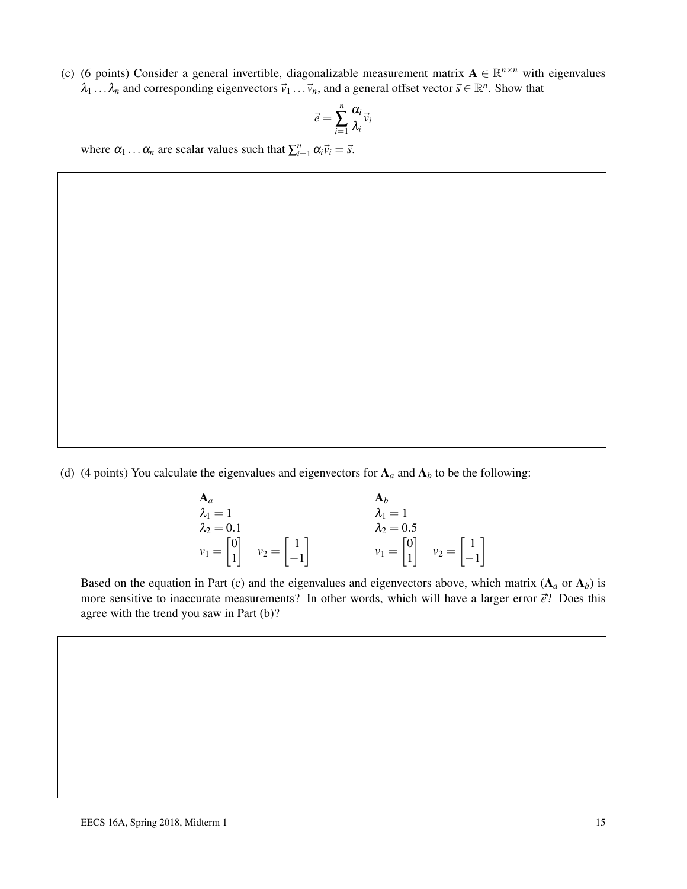(c) (6 points) Consider a general invertible, diagonalizable measurement matrix  $A \in \mathbb{R}^{n \times n}$  with eigenvalues  $\lambda_1 \dots \lambda_n$  and corresponding eigenvectors  $\vec{v}_1 \dots \vec{v}_n$ , and a general offset vector  $\vec{s} \in \mathbb{R}^n$ . Show that

$$
\vec{e} = \sum_{i=1}^n \frac{\alpha_i}{\lambda_i} \vec{v}_i
$$

where  $\alpha_1 \dots \alpha_n$  are scalar values such that  $\sum_{i=1}^n \alpha_i \vec{v}_i = \vec{s}$ .

(d) (4 points) You calculate the eigenvalues and eigenvectors for  $A_a$  and  $A_b$  to be the following:

| ${\bf A}_a$                                  |                                               | $A_h$                                        |                                               |
|----------------------------------------------|-----------------------------------------------|----------------------------------------------|-----------------------------------------------|
| $\lambda_1=1$                                |                                               | $\lambda_1=1$                                |                                               |
| $\lambda_2=0.1$                              |                                               | $\lambda_2=0.5$                              |                                               |
| $v_1 = \begin{bmatrix} 0 \\ 1 \end{bmatrix}$ | $v_2 = \begin{vmatrix} 1 \\ -1 \end{vmatrix}$ | $v_1 = \begin{bmatrix} 0 \\ 1 \end{bmatrix}$ | $v_2 = \begin{bmatrix} 1 \\ -1 \end{bmatrix}$ |

Based on the equation in Part (c) and the eigenvalues and eigenvectors above, which matrix  $(A_a \text{ or } A_b)$  is more sensitive to inaccurate measurements? In other words, which will have a larger error  $\vec{e}$ ? Does this agree with the trend you saw in Part (b)?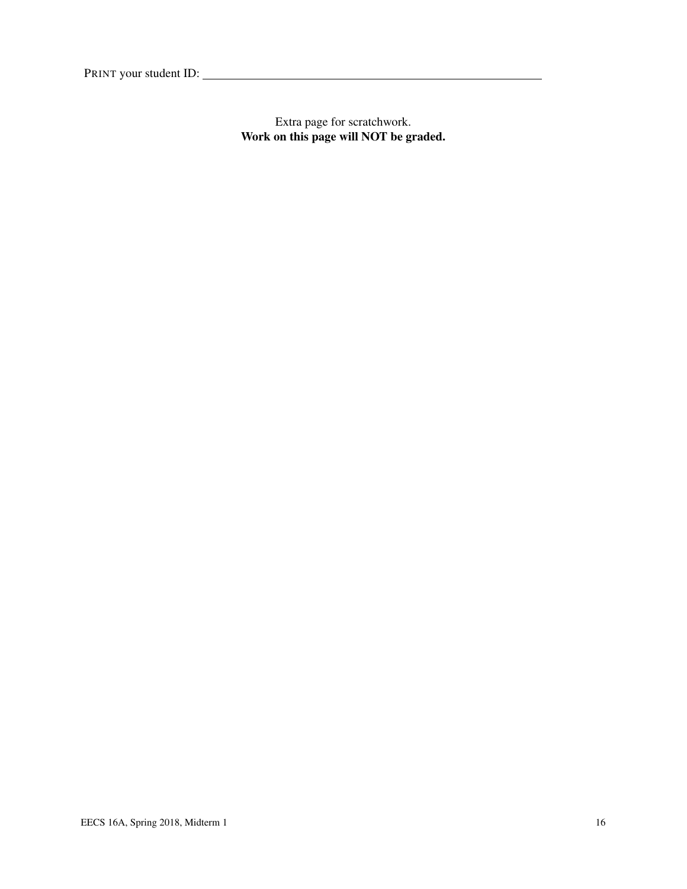Extra page for scratchwork. Work on this page will NOT be graded.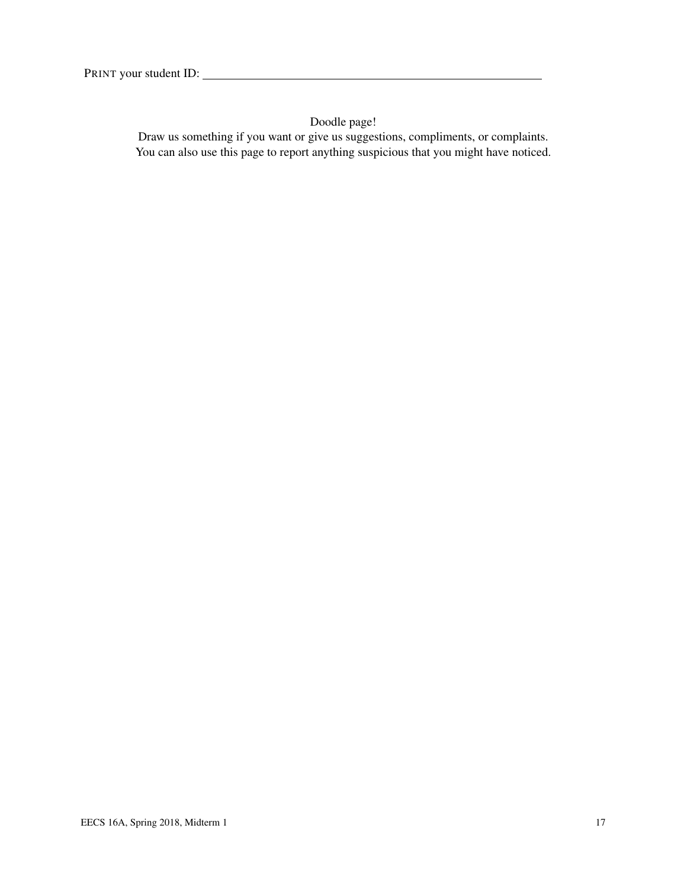Doodle page!

Draw us something if you want or give us suggestions, compliments, or complaints. You can also use this page to report anything suspicious that you might have noticed.